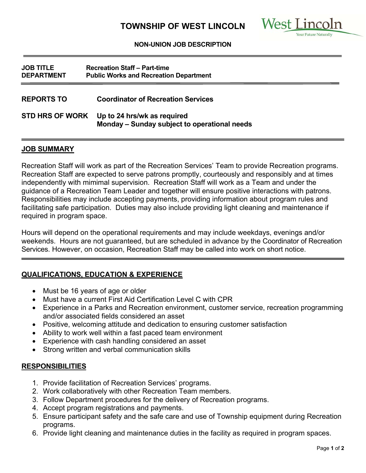

#### **NON-UNION JOB DESCRIPTION**

| <b>JOB TITLE</b><br><b>DEPARTMENT</b> | <b>Recreation Staff - Part-time</b><br><b>Public Works and Recreation Department</b> |
|---------------------------------------|--------------------------------------------------------------------------------------|
| <b>REPORTS TO</b>                     | <b>Coordinator of Recreation Services</b>                                            |
| <b>STD HRS OF WORK</b>                | Up to 24 hrs/wk as required<br>Monday - Sunday subject to operational needs          |

### **JOB SUMMARY**

Recreation Staff will work as part of the Recreation Services' Team to provide Recreation programs. Recreation Staff are expected to serve patrons promptly, courteously and responsibly and at times independently with mimimal supervision. Recreation Staff will work as a Team and under the guidance of a Recreation Team Leader and together will ensure positive interactions with patrons. Responsibilities may include accepting payments, providing information about program rules and facilitating safe participation. Duties may also include providing light cleaning and maintenance if required in program space.

Hours will depend on the operational requirements and may include weekdays, evenings and/or weekends. Hours are not guaranteed, but are scheduled in advance by the Coordinator of Recreation Services. However, on occasion, Recreation Staff may be called into work on short notice.

### **QUALIFICATIONS, EDUCATION & EXPERIENCE**

- Must be 16 years of age or older
- Must have a current First Aid Certification Level C with CPR
- Experience in a Parks and Recreation environment, customer service, recreation programming and/or associated fields considered an asset
- Positive, welcoming attitude and dedication to ensuring customer satisfaction
- Ability to work well within a fast paced team environment
- Experience with cash handling considered an asset
- Strong written and verbal communication skills

### **RESPONSIBILITIES**

- 1. Provide facilitation of Recreation Services' programs.
- 2. Work collaboratively with other Recreation Team members.
- 3. Follow Department procedures for the delivery of Recreation programs.
- 4. Accept program registrations and payments.
- 5. Ensure participant safety and the safe care and use of Township equipment during Recreation programs.
- 6. Provide light cleaning and maintenance duties in the facility as required in program spaces.